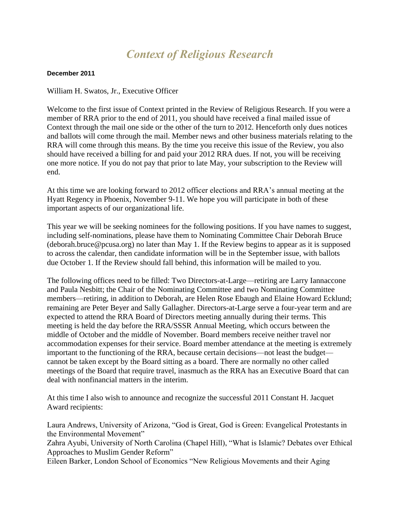## *Context of Religious Research*

## **December 2011**

William H. Swatos, Jr., Executive Officer

Welcome to the first issue of Context printed in the Review of Religious Research. If you were a member of RRA prior to the end of 2011, you should have received a final mailed issue of Context through the mail one side or the other of the turn to 2012. Henceforth only dues notices and ballots will come through the mail. Member news and other business materials relating to the RRA will come through this means. By the time you receive this issue of the Review, you also should have received a billing for and paid your 2012 RRA dues. If not, you will be receiving one more notice. If you do not pay that prior to late May, your subscription to the Review will end.

At this time we are looking forward to 2012 officer elections and RRA's annual meeting at the Hyatt Regency in Phoenix, November 9-11. We hope you will participate in both of these important aspects of our organizational life.

This year we will be seeking nominees for the following positions. If you have names to suggest, including self-nominations, please have them to Nominating Committee Chair Deborah Bruce (deborah.bruce@pcusa.org) no later than May 1. If the Review begins to appear as it is supposed to across the calendar, then candidate information will be in the September issue, with ballots due October 1. If the Review should fall behind, this information will be mailed to you.

The following offices need to be filled: Two Directors-at-Large—retiring are Larry Iannaccone and Paula Nesbitt; the Chair of the Nominating Committee and two Nominating Committee members—retiring, in addition to Deborah, are Helen Rose Ebaugh and Elaine Howard Ecklund; remaining are Peter Beyer and Sally Gallagher. Directors-at-Large serve a four-year term and are expected to attend the RRA Board of Directors meeting annually during their terms. This meeting is held the day before the RRA/SSSR Annual Meeting, which occurs between the middle of October and the middle of November. Board members receive neither travel nor accommodation expenses for their service. Board member attendance at the meeting is extremely important to the functioning of the RRA, because certain decisions—not least the budget cannot be taken except by the Board sitting as a board. There are normally no other called meetings of the Board that require travel, inasmuch as the RRA has an Executive Board that can deal with nonfinancial matters in the interim.

At this time I also wish to announce and recognize the successful 2011 Constant H. Jacquet Award recipients:

Laura Andrews, University of Arizona, "God is Great, God is Green: Evangelical Protestants in the Environmental Movement"

Zahra Ayubi, University of North Carolina (Chapel Hill), "What is Islamic? Debates over Ethical Approaches to Muslim Gender Reform"

Eileen Barker, London School of Economics "New Religious Movements and their Aging